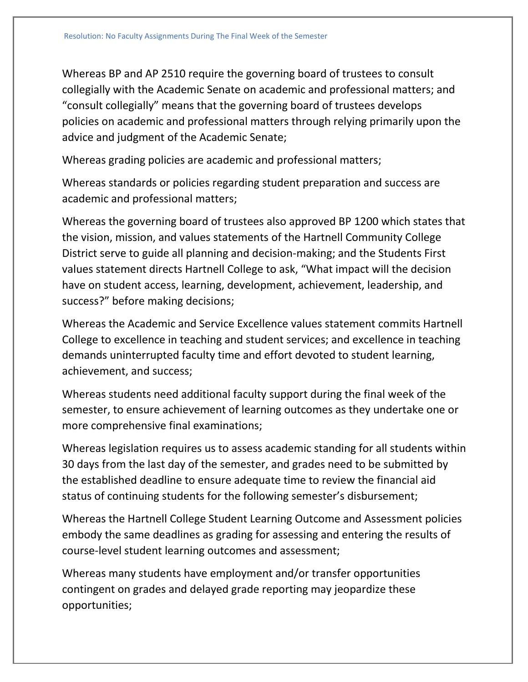Whereas BP and AP 2510 require the governing board of trustees to consult collegially with the Academic Senate on academic and professional matters; and "consult collegially" means that the governing board of trustees develops policies on academic and professional matters through relying primarily upon the advice and judgment of the Academic Senate;

Whereas grading policies are academic and professional matters;

Whereas standards or policies regarding student preparation and success are academic and professional matters;

Whereas the governing board of trustees also approved BP 1200 which states that the vision, mission, and values statements of the Hartnell Community College District serve to guide all planning and decision-making; and the Students First values statement directs Hartnell College to ask, "What impact will the decision have on student access, learning, development, achievement, leadership, and success?" before making decisions;

Whereas the Academic and Service Excellence values statement commits Hartnell College to excellence in teaching and student services; and excellence in teaching demands uninterrupted faculty time and effort devoted to student learning, achievement, and success;

Whereas students need additional faculty support during the final week of the semester, to ensure achievement of learning outcomes as they undertake one or more comprehensive final examinations;

Whereas legislation requires us to assess academic standing for all students within 30 days from the last day of the semester, and grades need to be submitted by the established deadline to ensure adequate time to review the financial aid status of continuing students for the following semester's disbursement;

Whereas the Hartnell College Student Learning Outcome and Assessment policies embody the same deadlines as grading for assessing and entering the results of course-level student learning outcomes and assessment;

Whereas many students have employment and/or transfer opportunities contingent on grades and delayed grade reporting may jeopardize these opportunities;